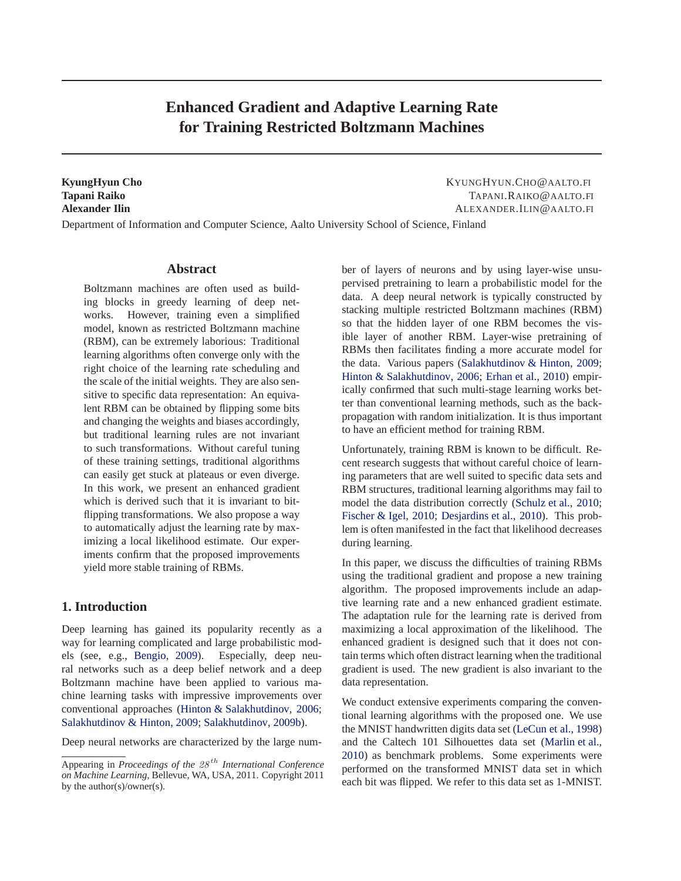# **Enhanced Gradient and Adaptive Learning Rate for Training Restricted Boltzmann Machines**

**KyungHyun Cho** KYUNGHYUN.CHO@AALTO.FI **Tapani Raiko** TAPANI.RAIKO@AALTO.FI **Alexander Ilin** ALEXANDER.ILIN@AALTO.FI

Department of Information and Computer Science, Aalto University School of Science, Finland

## **Abstract**

Boltzmann machines are often used as building blocks in greedy learning of deep networks. However, training even a simplified model, known as restricted Boltzmann machine (RBM), can be extremely laborious: Traditional learning algorithms often converge only with the right choice of the learning rate scheduling and the scale of the initial weights. They are also sensitive to specific data representation: An equivalent RBM can be obtained by flipping some bits and changing the weights and biases accordingly, but traditional learning rules are not invariant to such transformations. Without careful tuning of these training settings, traditional algorithms can easily get stuck at plateaus or even diverge. In this work, we present an enhanced gradient which is derived such that it is invariant to bitflipping transformations. We also propose a way to automatically adjust the learning rate by maximizing a local likelihood estimate. Our experiments confirm that the proposed improvements yield more stable training of RBMs.

## **1. Introduction**

Deep learning has gained its popularity recently as a way for learning complicated and large probabilistic models (see, e.g., [Bengio](#page-7-0), [2009\)](#page-7-0). Especially, deep neural networks such as a deep belief network and a deep Boltzmann machine have been applied to various machine learning tasks with impressive improvements over conventional approaches [\(Hinton & Salakhutdinov](#page-7-0), [2006;](#page-7-0) [Salakhutdinov & Hinton](#page-7-0), [2009](#page-7-0); [Salakhutdinov,](#page-7-0) [2009b\)](#page-7-0).

Deep neural networks are characterized by the large num-

ber of layers of neurons and by using layer-wise unsupervised pretraining to learn a probabilistic model for the data. A deep neural network is typically constructed by stacking multiple restricted Boltzmann machines (RBM) so that the hidden layer of one RBM becomes the visible layer of another RBM. Layer-wise pretraining of RBMs then facilitates finding a more accurate model for the data. Various papers [\(Salakhutdinov & Hinton,](#page-7-0) [2009;](#page-7-0) [Hinton & Salakhutdinov](#page-7-0), [2006;](#page-7-0) [Erhan et al.,](#page-7-0) [2010](#page-7-0)) empirically confirmed that such multi-stage learning works better than conventional learning methods, such as the backpropagation with random initialization. It is thus important to have an efficient method for training RBM.

Unfortunately, training RBM is known to be difficult. Recent research suggests that without careful choice of learning parameters that are well suited to specific data sets and RBM structures, traditional learning algorithms may fail to model the data distribution correctly [\(Schulz et al.,](#page-7-0) [2010;](#page-7-0) [Fischer & Igel,](#page-7-0) [2010;](#page-7-0) [Desjardins et al.](#page-7-0), [2010](#page-7-0)). This problem is often manifested in the fact that likelihood decreases during learning.

In this paper, we discuss the difficulties of training RBMs using the traditional gradient and propose a new training algorithm. The proposed improvements include an adaptive learning rate and a new enhanced gradient estimate. The adaptation rule for the learning rate is derived from maximizing a local approximation of the likelihood. The enhanced gradient is designed such that it does not contain terms which often distract learning when the traditional gradient is used. The new gradient is also invariant to the data representation.

We conduct extensive experiments comparing the conventional learning algorithms with the proposed one. We use the MNIST handwritten digits data set [\(LeCun et al.,](#page-7-0) [1998](#page-7-0)) and the Caltech 101 Silhouettes data set [\(Marlin et al.,](#page-7-0) [2010](#page-7-0)) as benchmark problems. Some experiments were performed on the transformed MNIST data set in which each bit was flipped. We refer to this data set as 1-MNIST.

Appearing in *Proceedings of the 28<sup>th</sup> International Conference on Machine Learning*, Bellevue, WA, USA, 2011. Copyright 2011 by the author(s)/owner(s).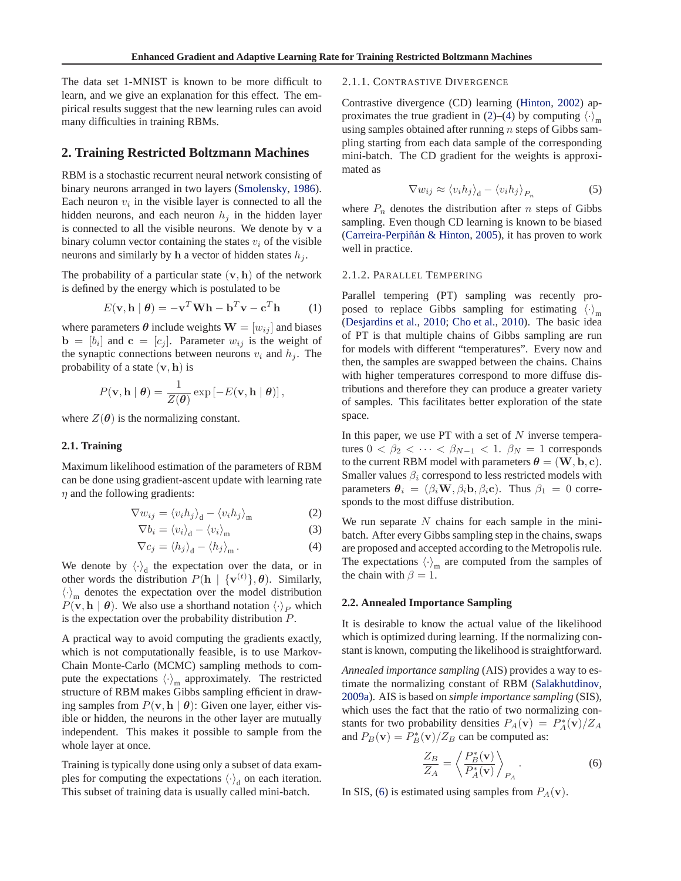<span id="page-1-0"></span>The data set 1-MNIST is known to be more difficult to learn, and we give an explanation for this effect. The empirical results suggest that the new learning rules can avoid many difficulties in training RBMs.

## **2. Training Restricted Boltzmann Machines**

RBM is a stochastic recurrent neural network consisting of binary neurons arranged in two layers [\(Smolensky](#page-7-0), [1986\)](#page-7-0). Each neuron  $v_i$  in the visible layer is connected to all the hidden neurons, and each neuron  $h_i$  in the hidden layer is connected to all the visible neurons. We denote by  $v$  a binary column vector containing the states  $v_i$  of the visible neurons and similarly by h a vector of hidden states  $h_j$ .

The probability of a particular state  $(v, h)$  of the network is defined by the energy which is postulated to be

$$
E(\mathbf{v}, \mathbf{h} | \boldsymbol{\theta}) = -\mathbf{v}^T \mathbf{W} \mathbf{h} - \mathbf{b}^T \mathbf{v} - \mathbf{c}^T \mathbf{h}
$$
 (1)

where parameters  $\theta$  include weights  $\mathbf{W} = [w_{ij}]$  and biases  $\mathbf{b} = [b_i]$  and  $\mathbf{c} = [c_j]$ . Parameter  $w_{ij}$  is the weight of the synaptic connections between neurons  $v_i$  and  $h_j$ . The probability of a state  $(v, h)$  is

$$
P(\mathbf{v}, \mathbf{h} | \boldsymbol{\theta}) = \frac{1}{Z(\boldsymbol{\theta})} \exp \left[-E(\mathbf{v}, \mathbf{h} | \boldsymbol{\theta})\right],
$$

where  $Z(\theta)$  is the normalizing constant.

### **2.1. Training**

Maximum likelihood estimation of the parameters of RBM can be done using gradient-ascent update with learning rate  $\eta$  and the following gradients:

$$
\nabla w_{ij} = \langle v_i h_j \rangle_{\mathbf{d}} - \langle v_i h_j \rangle_{\mathbf{m}} \tag{2}
$$

$$
\nabla b_i = \langle v_i \rangle_{\rm d} - \langle v_i \rangle_{\rm m} \tag{3}
$$

$$
\nabla c_j = \langle h_j \rangle_{\mathbf{d}} - \langle h_j \rangle_{\mathbf{m}}. \tag{4}
$$

We denote by  $\langle \cdot \rangle_d$  the expectation over the data, or in other words the distribution  $P(\mathbf{h} \mid {\{\mathbf{v}^{(t)}\}, \theta})$ . Similarly,  $\langle \cdot \rangle_m$  denotes the expectation over the model distribution  $P(\mathbf{v}, \mathbf{h} | \boldsymbol{\theta})$ . We also use a shorthand notation  $\langle \cdot \rangle_P$  which is the expectation over the probability distribution P.

A practical way to avoid computing the gradients exactly, which is not computationally feasible, is to use Markov-Chain Monte-Carlo (MCMC) sampling methods to compute the expectations  $\langle \cdot \rangle_m$  approximately. The restricted structure of RBM makes Gibbs sampling efficient in drawing samples from  $P(\mathbf{v}, \mathbf{h} \mid \boldsymbol{\theta})$ : Given one layer, either visible or hidden, the neurons in the other layer are mutually independent. This makes it possible to sample from the whole layer at once.

Training is typically done using only a subset of data examples for computing the expectations  $\langle \cdot \rangle_d$  on each iteration. This subset of training data is usually called mini-batch.

#### 2.1.1. CONTRASTIVE DIVERGENCE

Contrastive divergence (CD) learning [\(Hinton](#page-7-0), [2002\)](#page-7-0) approximates the true gradient in (2)–(4) by computing  $\langle \cdot \rangle_m$ using samples obtained after running  $n$  steps of Gibbs sampling starting from each data sample of the corresponding mini-batch. The CD gradient for the weights is approximated as

$$
\nabla w_{ij} \approx \langle v_i h_j \rangle_{\mathbf{d}} - \langle v_i h_j \rangle_{P_n} \tag{5}
$$

where  $P_n$  denotes the distribution after n steps of Gibbs sampling. Even though CD learning is known to be biased (Carreira-Perpiñán & Hinton, [2005\)](#page-7-0), it has proven to work well in practice.

#### 2.1.2. PARALLEL TEMPERING

Parallel tempering (PT) sampling was recently proposed to replace Gibbs sampling for estimating  $\langle \cdot \rangle_m$ [\(Desjardins et al.](#page-7-0), [2010;](#page-7-0) [Cho et al.](#page-7-0), [2010](#page-7-0)). The basic idea of PT is that multiple chains of Gibbs sampling are run for models with different "temperatures". Every now and then, the samples are swapped between the chains. Chains with higher temperatures correspond to more diffuse distributions and therefore they can produce a greater variety of samples. This facilitates better exploration of the state space.

In this paper, we use  $PT$  with a set of  $N$  inverse temperatures  $0 < \beta_2 < \cdots < \beta_{N-1} < 1$ .  $\beta_N = 1$  corresponds to the current RBM model with parameters  $\theta = (\mathbf{W}, \mathbf{b}, \mathbf{c})$ . Smaller values  $\beta_i$  correspond to less restricted models with parameters  $\theta_i = (\beta_i \mathbf{W}, \beta_i \mathbf{b}, \beta_i \mathbf{c})$ . Thus  $\beta_1 = 0$  corresponds to the most diffuse distribution.

We run separate  $N$  chains for each sample in the minibatch. After every Gibbs sampling step in the chains, swaps are proposed and accepted according to the Metropolis rule. The expectations  $\langle \cdot \rangle_m$  are computed from the samples of the chain with  $\beta = 1$ .

#### **2.2. Annealed Importance Sampling**

It is desirable to know the actual value of the likelihood which is optimized during learning. If the normalizing constant is known, computing the likelihood is straightforward.

*Annealed importance sampling* (AIS) provides a way to estimate the normalizing constant of RBM [\(Salakhutdinov,](#page-7-0) [2009a\)](#page-7-0). AIS is based on *simple importance sampling* (SIS), which uses the fact that the ratio of two normalizing constants for two probability densities  $P_A(\mathbf{v}) = P_A^*(\mathbf{v})/Z_A$ and  $P_B(\mathbf{v}) = P_B^*(\mathbf{v})/Z_B$  can be computed as:

$$
\frac{Z_B}{Z_A} = \left\langle \frac{P_B^*(\mathbf{v})}{P_A^*(\mathbf{v})} \right\rangle_{P_A}.
$$
 (6)

In SIS, (6) is estimated using samples from  $P_A(\mathbf{v})$ .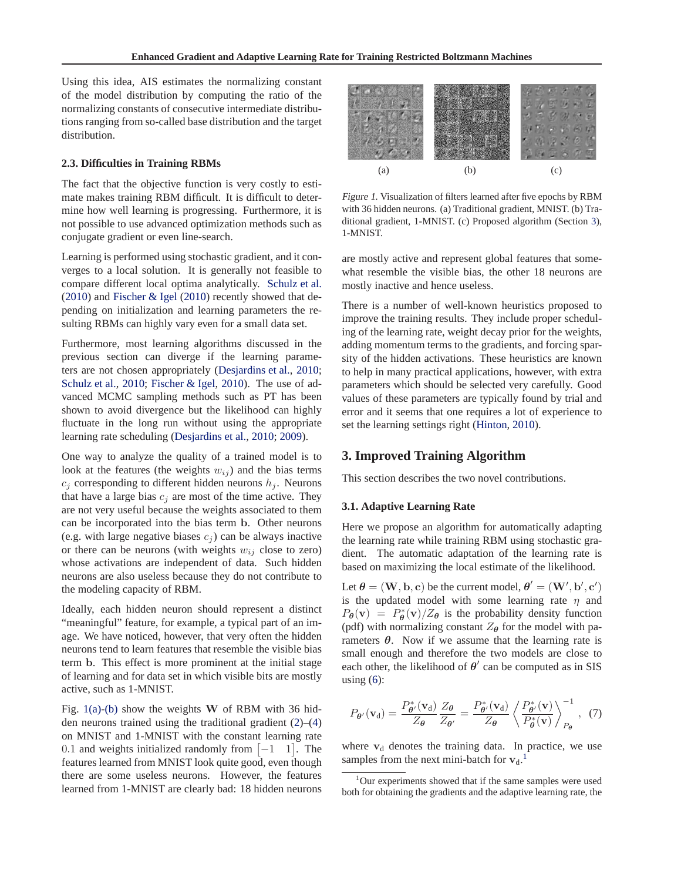<span id="page-2-0"></span>Using this idea, AIS estimates the normalizing constant of the model distribution by computing the ratio of the normalizing constants of consecutive intermediate distributions ranging from so-called base distribution and the target distribution.

#### **2.3. Difficulties in Training RBMs**

The fact that the objective function is very costly to estimate makes training RBM difficult. It is difficult to determine how well learning is progressing. Furthermore, it is not possible to use advanced optimization methods such as conjugate gradient or even line-search.

Learning is performed using stochastic gradient, and it converges to a local solution. It is generally not feasible to compare different local optima analytically. [Schulz et al.](#page-7-0) [\(2010\)](#page-7-0) and [Fischer & Igel](#page-7-0) [\(2010](#page-7-0)) recently showed that depending on initialization and learning parameters the resulting RBMs can highly vary even for a small data set.

Furthermore, most learning algorithms discussed in the previous section can diverge if the learning parameters are not chosen appropriately [\(Desjardins et al.,](#page-7-0) [2010;](#page-7-0) [Schulz et al.](#page-7-0), [2010](#page-7-0); [Fischer & Igel,](#page-7-0) 2010). The use of advanced MCMC sampling methods such as PT has been shown to avoid divergence but the likelihood can highly fluctuate in the long run without using the appropriate learning rate scheduling [\(Desjardins et al.](#page-7-0), [2010](#page-7-0); [2009\)](#page-7-0).

One way to analyze the quality of a trained model is to look at the features (the weights  $w_{ij}$ ) and the bias terms  $c_i$  corresponding to different hidden neurons  $h_i$ . Neurons that have a large bias  $c_i$  are most of the time active. They are not very useful because the weights associated to them can be incorporated into the bias term b. Other neurons (e.g. with large negative biases  $c_i$ ) can be always inactive or there can be neurons (with weights  $w_{ij}$  close to zero) whose activations are independent of data. Such hidden neurons are also useless because they do not contribute to the modeling capacity of RBM.

Ideally, each hidden neuron should represent a distinct "meaningful" feature, for example, a typical part of an image. We have noticed, however, that very often the hidden neurons tend to learn features that resemble the visible bias term b. This effect is more prominent at the initial stage of learning and for data set in which visible bits are mostly active, such as 1-MNIST.

Fig.  $1(a)$ -(b) show the weights W of RBM with 36 hidden neurons trained using the traditional gradient [\(2\)](#page-1-0)–[\(4\)](#page-1-0) on MNIST and 1-MNIST with the constant learning rate 0.1 and weights initialized randomly from  $[-1 \ 1]$ . The features learned from MNIST look quite good, even though there are some useless neurons. However, the features learned from 1-MNIST are clearly bad: 18 hidden neurons



Figure 1. Visualization of filters learned after five epochs by RBM with 36 hidden neurons. (a) Traditional gradient, MNIST. (b) Traditional gradient, 1-MNIST. (c) Proposed algorithm (Section 3), 1-MNIST.

are mostly active and represent global features that somewhat resemble the visible bias, the other 18 neurons are mostly inactive and hence useless.

There is a number of well-known heuristics proposed to improve the training results. They include proper scheduling of the learning rate, weight decay prior for the weights, adding momentum terms to the gradients, and forcing sparsity of the hidden activations. These heuristics are known to help in many practical applications, however, with extra parameters which should be selected very carefully. Good values of these parameters are typically found by trial and error and it seems that one requires a lot of experience to set the learning settings right [\(Hinton](#page-7-0), [2010\)](#page-7-0).

## **3. Improved Training Algorithm**

This section describes the two novel contributions.

#### **3.1. Adaptive Learning Rate**

Here we propose an algorithm for automatically adapting the learning rate while training RBM using stochastic gradient. The automatic adaptation of the learning rate is based on maximizing the local estimate of the likelihood.

Let  $\theta = (\mathbf{W}, \mathbf{b}, \mathbf{c})$  be the current model,  $\theta' = (\mathbf{W}', \mathbf{b}', \mathbf{c}')$ is the updated model with some learning rate  $\eta$  and  $P_{\theta}(\mathbf{v}) = P_{\theta}^*(\mathbf{v})/Z_{\theta}$  is the probability density function (pdf) with normalizing constant  $Z_{\theta}$  for the model with parameters  $\theta$ . Now if we assume that the learning rate is small enough and therefore the two models are close to each other, the likelihood of  $\theta'$  can be computed as in SIS using  $(6)$ :

$$
P_{\theta'}(\mathbf{v}_d) = \frac{P_{\theta'}^*(\mathbf{v}_d)}{Z_{\theta}} \frac{Z_{\theta}}{Z_{\theta'}} = \frac{P_{\theta'}^*(\mathbf{v}_d)}{Z_{\theta}} \left\langle \frac{P_{\theta'}^*(\mathbf{v})}{P_{\theta}^*(\mathbf{v})} \right\rangle_{P_{\theta}}^{-1}, (7)
$$

where  $v_d$  denotes the training data. In practice, we use samples from the next mini-batch for  $v_d$ .<sup>1</sup>

 $1$ Our experiments showed that if the same samples were used both for obtaining the gradients and the adaptive learning rate, the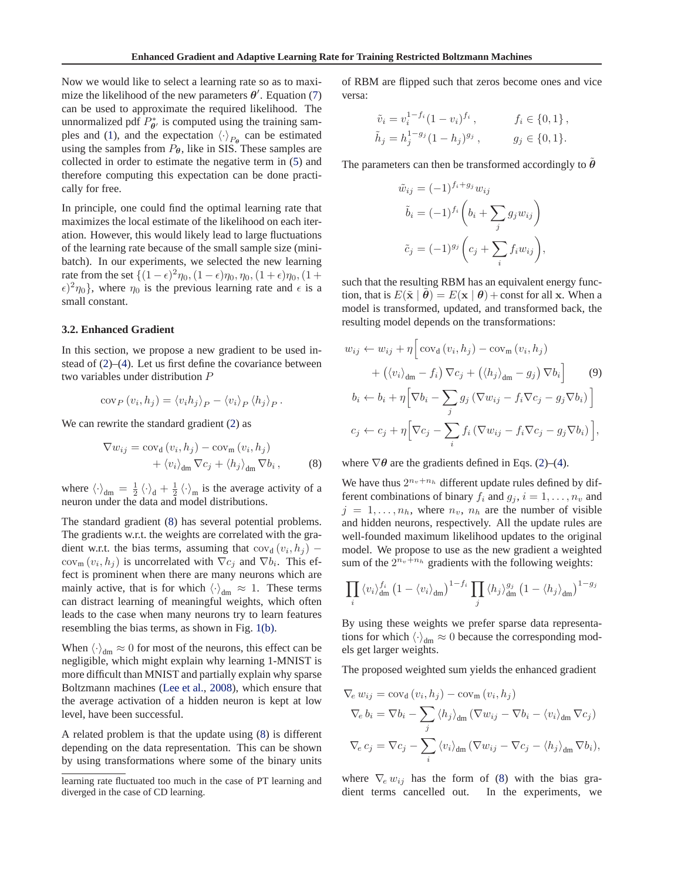Now we would like to select a learning rate so as to maximize the likelihood of the new parameters  $\theta'$ . Equation [\(7\)](#page-2-0) can be used to approximate the required likelihood. The unnormalized pdf  $P_{\theta'}^*$  is computed using the training sam-ples and [\(1\)](#page-1-0), and the expectation  $\langle \cdot \rangle_{P_{\theta}}$  can be estimated using the samples from  $P_{\theta}$ , like in SIS. These samples are collected in order to estimate the negative term in [\(5\)](#page-1-0) and therefore computing this expectation can be done practically for free.

In principle, one could find the optimal learning rate that maximizes the local estimate of the likelihood on each iteration. However, this would likely lead to large fluctuations of the learning rate because of the small sample size (minibatch). In our experiments, we selected the new learning rate from the set  $\{(1 - \epsilon)^2 \eta_0, (1 - \epsilon) \eta_0, \eta_0, (1 + \epsilon) \eta_0, (1 + \epsilon)\eta_0\}$  $\epsilon$ )<sup>2</sup> $\eta$ <sub>0</sub>}, where  $\eta$ <sub>0</sub> is the previous learning rate and  $\epsilon$  is a small constant.

## **3.2. Enhanced Gradient**

In this section, we propose a new gradient to be used instead of [\(2\)](#page-1-0)–[\(4\)](#page-1-0). Let us first define the covariance between two variables under distribution P

$$
\text{cov}_P(v_i, h_j) = \langle v_i h_j \rangle_P - \langle v_i \rangle_P \langle h_j \rangle_P.
$$

We can rewrite the standard gradient  $(2)$  as

$$
\nabla w_{ij} = \text{cov}_{d} (v_i, h_j) - \text{cov}_{m} (v_i, h_j) + \langle v_i \rangle_{dm} \nabla c_j + \langle h_j \rangle_{dm} \nabla b_i, \qquad (8)
$$

where  $\langle \cdot \rangle_{dm} = \frac{1}{2} \langle \cdot \rangle_d + \frac{1}{2} \langle \cdot \rangle_m$  is the average activity of a neuron under the data and model distributions.

The standard gradient (8) has several potential problems. The gradients w.r.t. the weights are correlated with the gradient w.r.t. the bias terms, assuming that  $cov_d(v_i, h_j)$  –  $cov_{m}(v_{i}, h_{j})$  is uncorrelated with  $\nabla c_{j}$  and  $\nabla b_{i}$ . This effect is prominent when there are many neurons which are mainly active, that is for which  $\langle \cdot \rangle_{dm} \approx 1$ . These terms can distract learning of meaningful weights, which often leads to the case when many neurons try to learn features resembling the bias terms, as shown in Fig. [1\(b\).](#page-2-0)

When  $\langle \cdot \rangle_{dm} \approx 0$  for most of the neurons, this effect can be negligible, which might explain why learning 1-MNIST is more difficult than MNIST and partially explain why sparse Boltzmann machines [\(Lee et al.](#page-7-0), [2008\)](#page-7-0), which ensure that the average activation of a hidden neuron is kept at low level, have been successful.

A related problem is that the update using (8) is different depending on the data representation. This can be shown by using transformations where some of the binary units of RBM are flipped such that zeros become ones and vice versa:

$$
\tilde{v}_i = v_i^{1-f_i} (1 - v_i)^{f_i}, \qquad f_i \in \{0, 1\},
$$
  

$$
\tilde{h}_j = h_j^{1-g_j} (1 - h_j)^{g_j}, \qquad g_j \in \{0, 1\}.
$$

The parameters can then be transformed accordingly to  $\hat{\theta}$ 

$$
\tilde{w}_{ij} = (-1)^{f_i + g_j} w_{ij}
$$

$$
\tilde{b}_i = (-1)^{f_i} \left( b_i + \sum_j g_j w_{ij} \right)
$$

$$
\tilde{c}_j = (-1)^{g_j} \left( c_j + \sum_i f_i w_{ij} \right),
$$

such that the resulting RBM has an equivalent energy function, that is  $E(\tilde{\mathbf{x}} | \tilde{\boldsymbol{\theta}}) = E(\mathbf{x} | \boldsymbol{\theta}) + \text{const}$  for all x. When a model is transformed, updated, and transformed back, the resulting model depends on the transformations:

$$
w_{ij} \leftarrow w_{ij} + \eta \Big[ \text{cov}_d \left( v_i, h_j \right) - \text{cov}_m \left( v_i, h_j \right) + \left( \langle v_i \rangle_{dm} - f_i \right) \nabla c_j + \left( \langle h_j \rangle_{dm} - g_j \right) \nabla b_i \Big] \qquad (9) b_i \leftarrow b_i + \eta \Big[ \nabla b_i - \sum_j g_j \left( \nabla w_{ij} - f_i \nabla c_j - g_j \nabla b_i \right) \Big] c_j \leftarrow c_j + \eta \Big[ \nabla c_j - \sum_i f_i \left( \nabla w_{ij} - f_i \nabla c_j - g_j \nabla b_i \right) \Big],
$$

where  $\nabla \theta$  are the gradients defined in Eqs. [\(2\)](#page-1-0)–[\(4\)](#page-1-0).

We have thus  $2^{n_v+n_h}$  different update rules defined by different combinations of binary  $f_i$  and  $g_i$ ,  $i = 1, \ldots, n_v$  and  $j = 1, \ldots, n_h$ , where  $n_v$ ,  $n_h$  are the number of visible and hidden neurons, respectively. All the update rules are well-founded maximum likelihood updates to the original model. We propose to use as the new gradient a weighted sum of the  $2^{n_v+n_h}$  gradients with the following weights:

$$
\prod_i \left_{\rm dm}^{f_i} \left(1-\left_{\rm dm}\right)^{1-f_i} \prod_j \left_{\rm dm}^{g_j} \left(1-\left_{\rm dm}\right)^{1-g_j}
$$

By using these weights we prefer sparse data representations for which  $\langle \cdot \rangle_{dm} \approx 0$  because the corresponding models get larger weights.

The proposed weighted sum yields the enhanced gradient

$$
\nabla_{e} w_{ij} = \text{cov}_{d} (v_{i}, h_{j}) - \text{cov}_{m} (v_{i}, h_{j})
$$
  
\n
$$
\nabla_{e} b_{i} = \nabla b_{i} - \sum_{j} \langle h_{j} \rangle_{dm} (\nabla w_{ij} - \nabla b_{i} - \langle v_{i} \rangle_{dm} \nabla c_{j})
$$
  
\n
$$
\nabla_{e} c_{j} = \nabla c_{j} - \sum_{i} \langle v_{i} \rangle_{dm} (\nabla w_{ij} - \nabla c_{j} - \langle h_{j} \rangle_{dm} \nabla b_{i}),
$$

where  $\nabla_e w_{ij}$  has the form of (8) with the bias gradient terms cancelled out. In the experiments, we dient terms cancelled out.

learning rate fluctuated too much in the case of PT learning and diverged in the case of CD learning.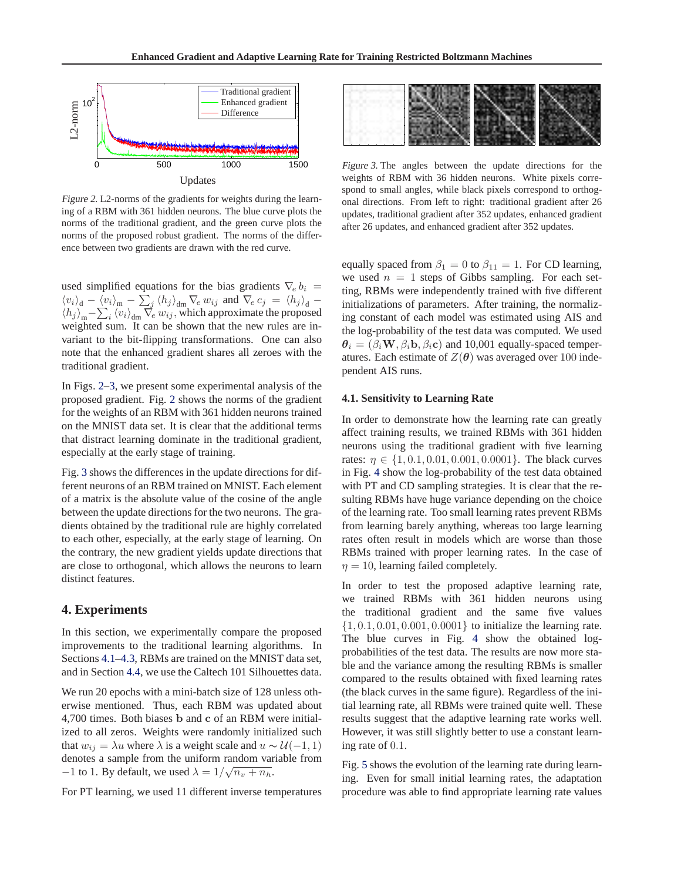

Figure 2. L2-norms of the gradients for weights during the learning of a RBM with 361 hidden neurons. The blue curve plots the norms of the traditional gradient, and the green curve plots the norms of the proposed robust gradient. The norms of the difference between two gradients are drawn with the red curve.

used simplified equations for the bias gradients  $\nabla_e b_i$  =  $\langle v_i \rangle_{\rm d} - \langle v_i \rangle_{\rm m} - \sum_j \langle h_j \rangle_{\rm dm} \nabla_e w_{ij}$  and  $\nabla_e c_j = \langle h_j \rangle_{\rm d} \langle h_j \rangle_{\text{m}} - \sum_i \langle v_i \rangle_{\text{dm}} \nabla_e w_{ij}$ , which approximate the proposed weighted sum. It can be shown that the new rules are invariant to the bit-flipping transformations. One can also note that the enhanced gradient shares all zeroes with the traditional gradient.

In Figs. 2–3, we present some experimental analysis of the proposed gradient. Fig. 2 shows the norms of the gradient for the weights of an RBM with 361 hidden neurons trained on the MNIST data set. It is clear that the additional terms that distract learning dominate in the traditional gradient, especially at the early stage of training.

Fig. 3 shows the differences in the update directions for different neurons of an RBM trained on MNIST. Each element of a matrix is the absolute value of the cosine of the angle between the update directions for the two neurons. The gradients obtained by the traditional rule are highly correlated to each other, especially, at the early stage of learning. On the contrary, the new gradient yields update directions that are close to orthogonal, which allows the neurons to learn distinct features.

## **4. Experiments**

In this section, we experimentally compare the proposed improvements to the traditional learning algorithms. In Sections 4.1[–4.3,](#page-6-0) RBMs are trained on the MNIST data set, and in Section [4.4,](#page-6-0) we use the Caltech 101 Silhouettes data.

We run 20 epochs with a mini-batch size of 128 unless otherwise mentioned. Thus, each RBM was updated about 4,700 times. Both biases b and c of an RBM were initialized to all zeros. Weights were randomly initialized such that  $w_{ij} = \lambda u$  where  $\lambda$  is a weight scale and  $u \sim \mathcal{U}(-1, 1)$ denotes a sample from the uniform random variable from  $-1$  to 1. By default, we used  $\lambda = 1/\sqrt{n_v + n_h}$ .

For PT learning, we used 11 different inverse temperatures



Figure 3. The angles between the update directions for the weights of RBM with 36 hidden neurons. White pixels correspond to small angles, while black pixels correspond to orthogonal directions. From left to right: traditional gradient after 26 updates, traditional gradient after 352 updates, enhanced gradient after 26 updates, and enhanced gradient after 352 updates.

equally spaced from  $\beta_1 = 0$  to  $\beta_{11} = 1$ . For CD learning, we used  $n = 1$  steps of Gibbs sampling. For each setting, RBMs were independently trained with five different initializations of parameters. After training, the normalizing constant of each model was estimated using AIS and the log-probability of the test data was computed. We used  $\theta_i = (\beta_i \mathbf{W}, \beta_i \mathbf{b}, \beta_i \mathbf{c})$  and 10,001 equally-spaced temperatures. Each estimate of  $Z(\theta)$  was averaged over 100 independent AIS runs.

#### **4.1. Sensitivity to Learning Rate**

In order to demonstrate how the learning rate can greatly affect training results, we trained RBMs with 361 hidden neurons using the traditional gradient with five learning rates:  $\eta \in \{1, 0.1, 0.01, 0.001, 0.0001\}$ . The black curves in Fig. [4](#page-5-0) show the log-probability of the test data obtained with PT and CD sampling strategies. It is clear that the resulting RBMs have huge variance depending on the choice of the learning rate. Too small learning rates prevent RBMs from learning barely anything, whereas too large learning rates often result in models which are worse than those RBMs trained with proper learning rates. In the case of  $\eta = 10$ , learning failed completely.

In order to test the proposed adaptive learning rate, we trained RBMs with 361 hidden neurons using the traditional gradient and the same five values  $\{1, 0.1, 0.01, 0.001, 0.0001\}$  to initialize the learning rate. The blue curves in Fig. [4](#page-5-0) show the obtained logprobabilities of the test data. The results are now more stable and the variance among the resulting RBMs is smaller compared to the results obtained with fixed learning rates (the black curves in the same figure). Regardless of the initial learning rate, all RBMs were trained quite well. These results suggest that the adaptive learning rate works well. However, it was still slightly better to use a constant learning rate of 0.1.

Fig. [5](#page-5-0) shows the evolution of the learning rate during learning. Even for small initial learning rates, the adaptation procedure was able to find appropriate learning rate values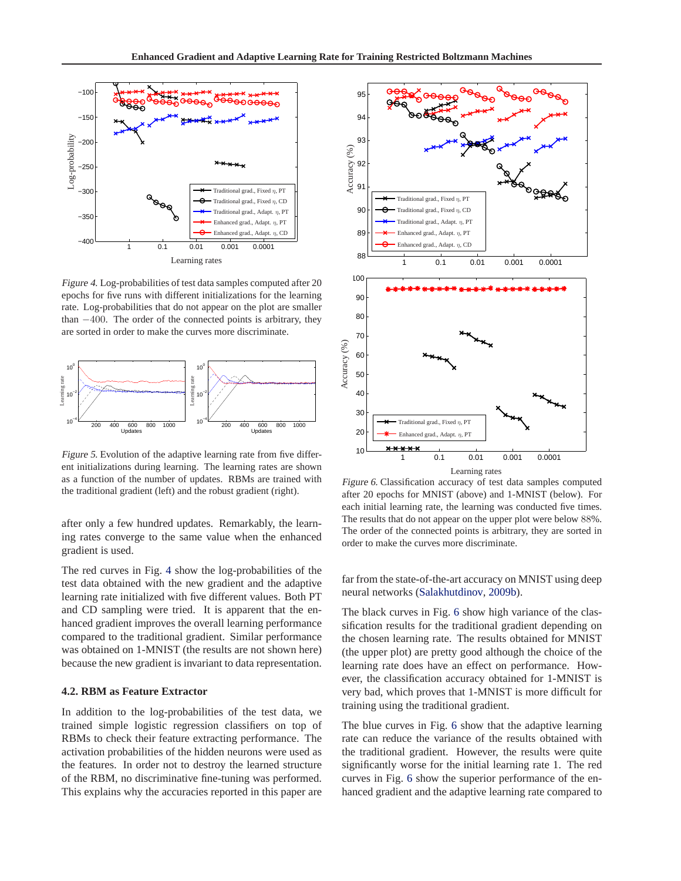<span id="page-5-0"></span>

Figure 4. Log-probabilities of test data samples computed after 20 epochs for five runs with different initializations for the learning rate. Log-probabilities that do not appear on the plot are smaller than  $-400$ . The order of the connected points is arbitrary, they are sorted in order to make the curves more discriminate.



Figure 5. Evolution of the adaptive learning rate from five different initializations during learning. The learning rates are shown as a function of the number of updates. RBMs are trained with the traditional gradient (left) and the robust gradient (right).

after only a few hundred updates. Remarkably, the learning rates converge to the same value when the enhanced gradient is used.

The red curves in Fig. 4 show the log-probabilities of the test data obtained with the new gradient and the adaptive learning rate initialized with five different values. Both PT and CD sampling were tried. It is apparent that the enhanced gradient improves the overall learning performance compared to the traditional gradient. Similar performance was obtained on 1-MNIST (the results are not shown here) because the new gradient is invariant to data representation.

## **4.2. RBM as Feature Extractor**

In addition to the log-probabilities of the test data, we trained simple logistic regression classifiers on top of RBMs to check their feature extracting performance. The activation probabilities of the hidden neurons were used as the features. In order not to destroy the learned structure of the RBM, no discriminative fine-tuning was performed. This explains why the accuracies reported in this paper are



Figure 6. Classification accuracy of test data samples computed after 20 epochs for MNIST (above) and 1-MNIST (below). For each initial learning rate, the learning was conducted five times. The results that do not appear on the upper plot were below 88%. The order of the connected points is arbitrary, they are sorted in order to make the curves more discriminate.

far from the state-of-the-art accuracy on MNIST using deep neural networks [\(Salakhutdinov](#page-7-0), [2009b](#page-7-0)).

The black curves in Fig. 6 show high variance of the classification results for the traditional gradient depending on the chosen learning rate. The results obtained for MNIST (the upper plot) are pretty good although the choice of the learning rate does have an effect on performance. However, the classification accuracy obtained for 1-MNIST is very bad, which proves that 1-MNIST is more difficult for training using the traditional gradient.

The blue curves in Fig. 6 show that the adaptive learning rate can reduce the variance of the results obtained with the traditional gradient. However, the results were quite significantly worse for the initial learning rate 1. The red curves in Fig. 6 show the superior performance of the enhanced gradient and the adaptive learning rate compared to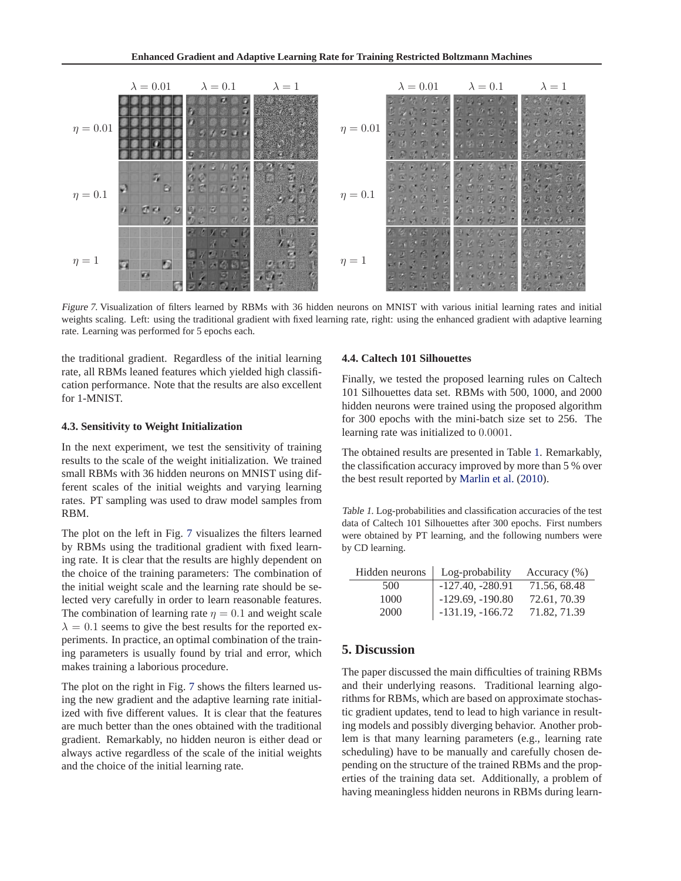<span id="page-6-0"></span>

Figure 7. Visualization of filters learned by RBMs with 36 hidden neurons on MNIST with various initial learning rates and initial weights scaling. Left: using the traditional gradient with fixed learning rate, right: using the enhanced gradient with adaptive learning rate. Learning was performed for 5 epochs each.

the traditional gradient. Regardless of the initial learning rate, all RBMs leaned features which yielded high classification performance. Note that the results are also excellent for 1-MNIST.

### **4.3. Sensitivity to Weight Initialization**

In the next experiment, we test the sensitivity of training results to the scale of the weight initialization. We trained small RBMs with 36 hidden neurons on MNIST using different scales of the initial weights and varying learning rates. PT sampling was used to draw model samples from RBM.

The plot on the left in Fig. 7 visualizes the filters learned by RBMs using the traditional gradient with fixed learning rate. It is clear that the results are highly dependent on the choice of the training parameters: The combination of the initial weight scale and the learning rate should be selected very carefully in order to learn reasonable features. The combination of learning rate  $\eta = 0.1$  and weight scale  $\lambda = 0.1$  seems to give the best results for the reported experiments. In practice, an optimal combination of the training parameters is usually found by trial and error, which makes training a laborious procedure.

The plot on the right in Fig. 7 shows the filters learned using the new gradient and the adaptive learning rate initialized with five different values. It is clear that the features are much better than the ones obtained with the traditional gradient. Remarkably, no hidden neuron is either dead or always active regardless of the scale of the initial weights and the choice of the initial learning rate.

#### **4.4. Caltech 101 Silhouettes**

Finally, we tested the proposed learning rules on Caltech 101 Silhouettes data set. RBMs with 500, 1000, and 2000 hidden neurons were trained using the proposed algorithm for 300 epochs with the mini-batch size set to 256. The learning rate was initialized to 0.0001.

The obtained results are presented in Table 1. Remarkably, the classification accuracy improved by more than 5 % over the best result reported by [Marlin et al.](#page-7-0) [\(2010](#page-7-0)).

Table 1. Log-probabilities and classification accuracies of the test data of Caltech 101 Silhouettes after 300 epochs. First numbers were obtained by PT learning, and the following numbers were by CD learning.

| Hidden neurons | Log-probability    | Accuracy $(\% )$ |
|----------------|--------------------|------------------|
| 500            | $-127.40, -280.91$ | 71.56, 68.48     |
| 1000           | $-129.69, -190.80$ | 72.61, 70.39     |
| 2000           | $-131.19, -166.72$ | 71.82, 71.39     |

## **5. Discussion**

The paper discussed the main difficulties of training RBMs and their underlying reasons. Traditional learning algorithms for RBMs, which are based on approximate stochastic gradient updates, tend to lead to high variance in resulting models and possibly diverging behavior. Another problem is that many learning parameters (e.g., learning rate scheduling) have to be manually and carefully chosen depending on the structure of the trained RBMs and the properties of the training data set. Additionally, a problem of having meaningless hidden neurons in RBMs during learn